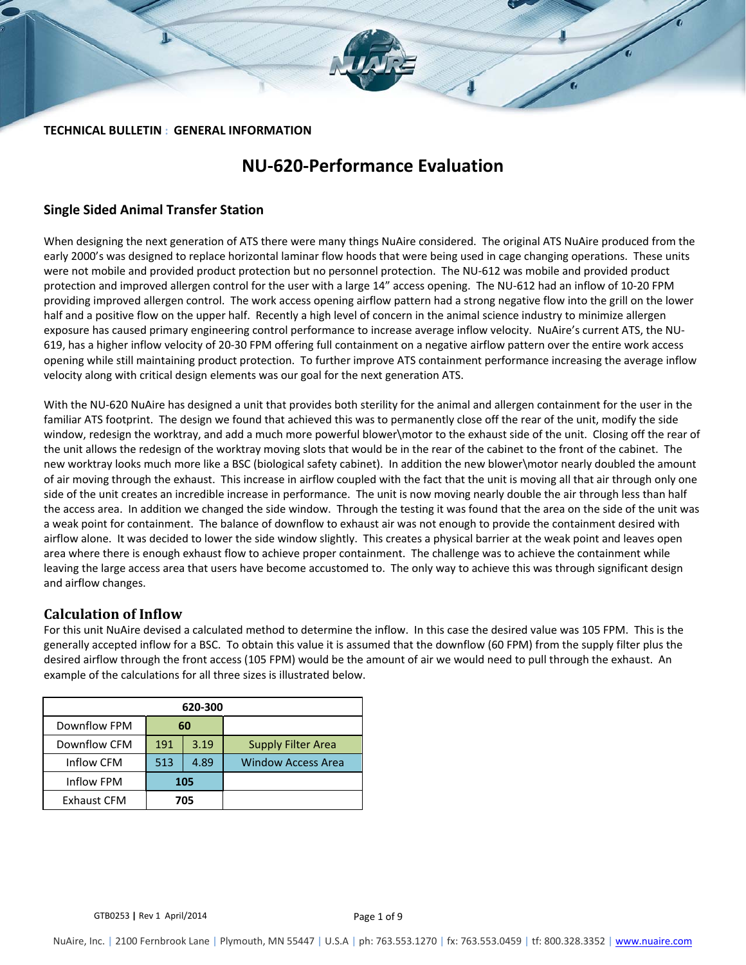#### **TECHNICAL BULLETIN : GENERAL INFORMATION**

# **NU‐620‐Performance Evaluation**

### **Single Sided Animal Transfer Station**

When designing the next generation of ATS there were many things NuAire considered. The original ATS NuAire produced from the early 2000's was designed to replace horizontal laminar flow hoods that were being used in cage changing operations. These units were not mobile and provided product protection but no personnel protection. The NU‐612 was mobile and provided product protection and improved allergen control for the user with a large 14" access opening. The NU‐612 had an inflow of 10‐20 FPM providing improved allergen control. The work access opening airflow pattern had a strong negative flow into the grill on the lower half and a positive flow on the upper half. Recently a high level of concern in the animal science industry to minimize allergen exposure has caused primary engineering control performance to increase average inflow velocity. NuAire's current ATS, the NU‐ 619, has a higher inflow velocity of 20‐30 FPM offering full containment on a negative airflow pattern over the entire work access opening while still maintaining product protection. To further improve ATS containment performance increasing the average inflow velocity along with critical design elements was our goal for the next generation ATS.

With the NU‐620 NuAire has designed a unit that provides both sterility for the animal and allergen containment for the user in the familiar ATS footprint. The design we found that achieved this was to permanently close off the rear of the unit, modify the side window, redesign the worktray, and add a much more powerful blower\motor to the exhaust side of the unit. Closing off the rear of the unit allows the redesign of the worktray moving slots that would be in the rear of the cabinet to the front of the cabinet. The new worktray looks much more like a BSC (biological safety cabinet). In addition the new blower\motor nearly doubled the amount of air moving through the exhaust. This increase in airflow coupled with the fact that the unit is moving all that air through only one side of the unit creates an incredible increase in performance. The unit is now moving nearly double the air through less than half the access area. In addition we changed the side window. Through the testing it was found that the area on the side of the unit was a weak point for containment. The balance of downflow to exhaust air was not enough to provide the containment desired with airflow alone. It was decided to lower the side window slightly. This creates a physical barrier at the weak point and leaves open area where there is enough exhaust flow to achieve proper containment. The challenge was to achieve the containment while leaving the large access area that users have become accustomed to. The only way to achieve this was through significant design and airflow changes.

# **Calculation of Inflow**

For this unit NuAire devised a calculated method to determine the inflow. In this case the desired value was 105 FPM. This is the generally accepted inflow for a BSC. To obtain this value it is assumed that the downflow (60 FPM) from the supply filter plus the desired airflow through the front access (105 FPM) would be the amount of air we would need to pull through the exhaust. An example of the calculations for all three sizes is illustrated below.

| 620-300            |             |    |                           |  |  |
|--------------------|-------------|----|---------------------------|--|--|
| Downflow FPM       |             | 60 |                           |  |  |
| Downflow CFM       | 3.19<br>191 |    | <b>Supply Filter Area</b> |  |  |
| Inflow CFM         | 513<br>4.89 |    | <b>Window Access Area</b> |  |  |
| Inflow FPM         | 105         |    |                           |  |  |
| <b>Exhaust CFM</b> | 705         |    |                           |  |  |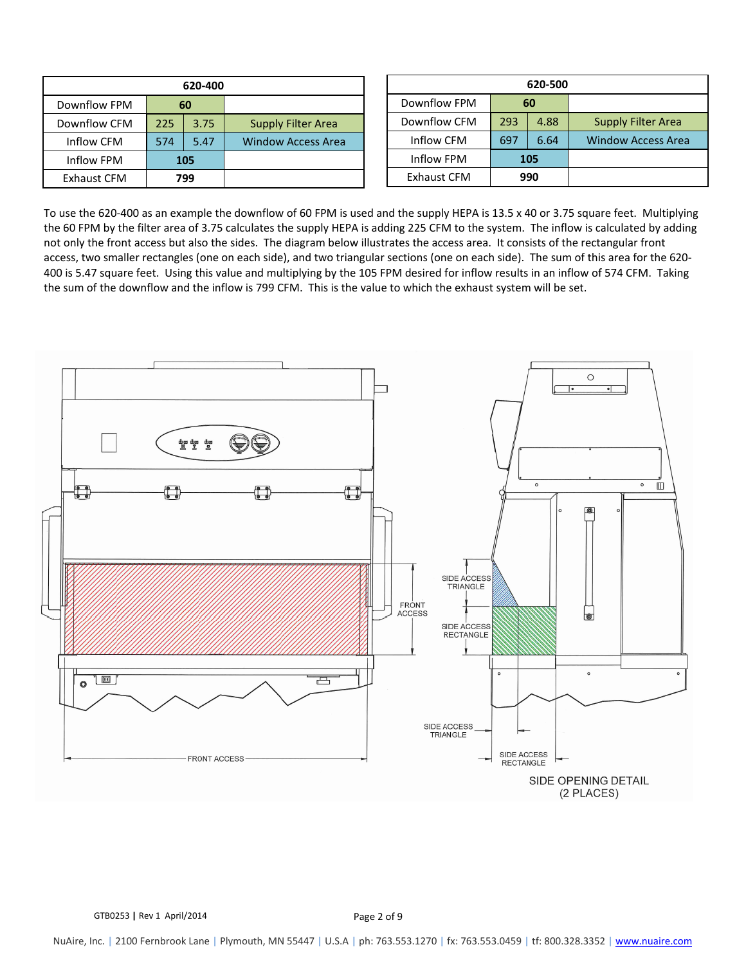| 620-400            |     |      |                           |  |  |
|--------------------|-----|------|---------------------------|--|--|
| Downflow FPM       | 60  |      |                           |  |  |
| Downflow CFM       | 225 | 3.75 | <b>Supply Filter Area</b> |  |  |
| Inflow CFM         | 574 | 5.47 | <b>Window Access Area</b> |  |  |
| Inflow FPM         | 105 |      |                           |  |  |
| <b>Exhaust CFM</b> | 799 |      |                           |  |  |

| 620-500            |             |      |                           |  |  |
|--------------------|-------------|------|---------------------------|--|--|
| Downflow FPM       | 60          |      |                           |  |  |
| Downflow CFM       | 293<br>4.88 |      | <b>Supply Filter Area</b> |  |  |
| Inflow CFM         | 697         | 6.64 | <b>Window Access Area</b> |  |  |
| Inflow FPM         | 105         |      |                           |  |  |
| <b>Exhaust CFM</b> | 990         |      |                           |  |  |

To use the 620‐400 as an example the downflow of 60 FPM is used and the supply HEPA is 13.5 x 40 or 3.75 square feet. Multiplying the 60 FPM by the filter area of 3.75 calculates the supply HEPA is adding 225 CFM to the system. The inflow is calculated by adding not only the front access but also the sides. The diagram below illustrates the access area. It consists of the rectangular front access, two smaller rectangles (one on each side), and two triangular sections (one on each side). The sum of this area for the 620‐ 400 is 5.47 square feet. Using this value and multiplying by the 105 FPM desired for inflow results in an inflow of 574 CFM. Taking the sum of the downflow and the inflow is 799 CFM. This is the value to which the exhaust system will be set.

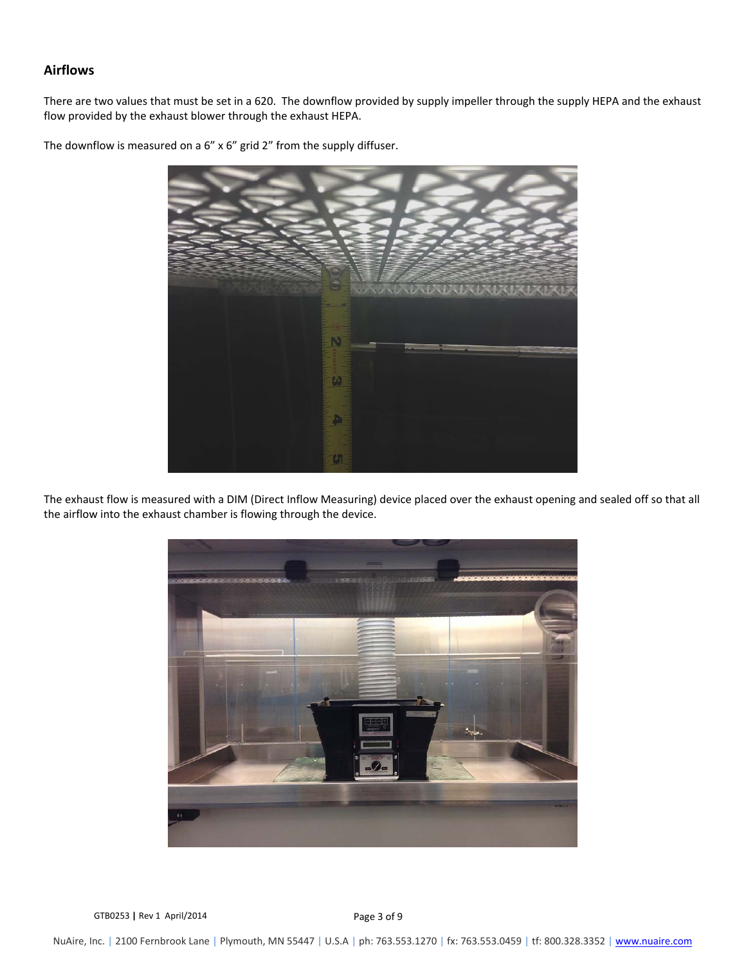### **Airflows**

There are two values that must be set in a 620. The downflow provided by supply impeller through the supply HEPA and the exhaust flow provided by the exhaust blower through the exhaust HEPA.

The downflow is measured on a 6" x 6" grid 2" from the supply diffuser.



The exhaust flow is measured with a DIM (Direct Inflow Measuring) device placed over the exhaust opening and sealed off so that all the airflow into the exhaust chamber is flowing through the device.



GTB0253 | Rev 1 April/2014 **Page 3 of 9**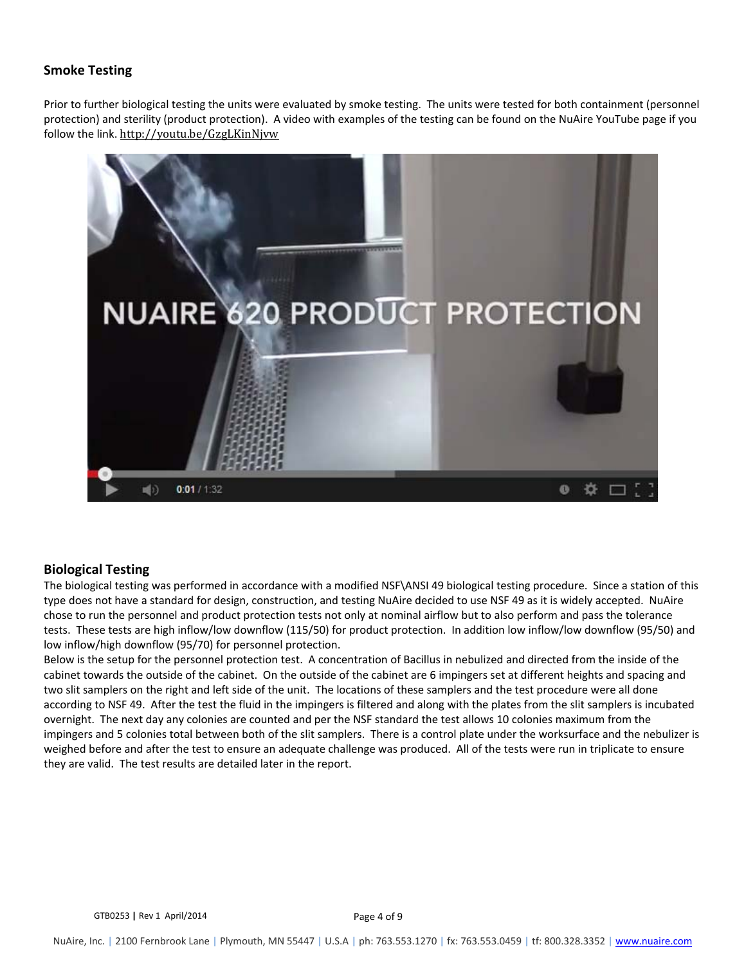# **Smoke Testing**

Prior to further biological testing the units were evaluated by smoke testing. The units were tested for both containment (personnel protection) and sterility (product protection). A video with examples of the testing can be found on the NuAire YouTube page if you follow the link. http://youtu.be/GzgLKinNjvw 



### **Biological Testing**

The biological testing was performed in accordance with a modified NSF\ANSI 49 biological testing procedure. Since a station of this type does not have a standard for design, construction, and testing NuAire decided to use NSF 49 as it is widely accepted. NuAire chose to run the personnel and product protection tests not only at nominal airflow but to also perform and pass the tolerance tests. These tests are high inflow/low downflow (115/50) for product protection. In addition low inflow/low downflow (95/50) and low inflow/high downflow (95/70) for personnel protection.

Below is the setup for the personnel protection test. A concentration of Bacillus in nebulized and directed from the inside of the cabinet towards the outside of the cabinet. On the outside of the cabinet are 6 impingers set at different heights and spacing and two slit samplers on the right and left side of the unit. The locations of these samplers and the test procedure were all done according to NSF 49. After the test the fluid in the impingers is filtered and along with the plates from the slit samplers is incubated overnight. The next day any colonies are counted and per the NSF standard the test allows 10 colonies maximum from the impingers and 5 colonies total between both of the slit samplers. There is a control plate under the worksurface and the nebulizer is weighed before and after the test to ensure an adequate challenge was produced. All of the tests were run in triplicate to ensure they are valid. The test results are detailed later in the report.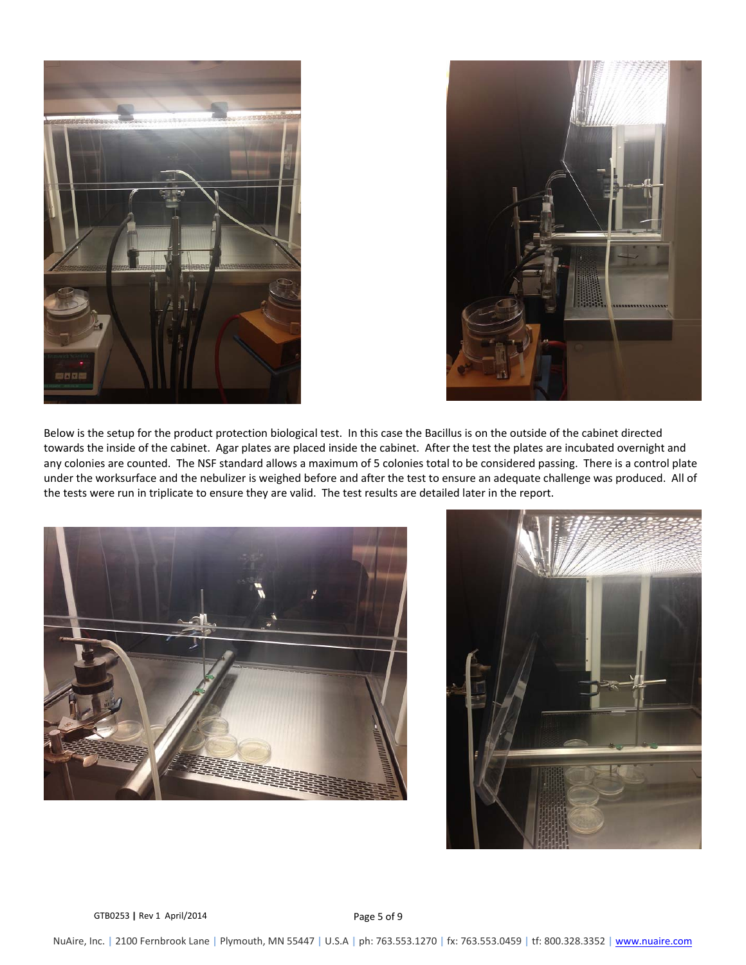



Below is the setup for the product protection biological test. In this case the Bacillus is on the outside of the cabinet directed towards the inside of the cabinet. Agar plates are placed inside the cabinet. After the test the plates are incubated overnight and any colonies are counted. The NSF standard allows a maximum of 5 colonies total to be considered passing. There is a control plate under the worksurface and the nebulizer is weighed before and after the test to ensure an adequate challenge was produced. All of the tests were run in triplicate to ensure they are valid. The test results are detailed later in the report.





GTB0253 | Rev 1 April/2014 **Page 5 of 9**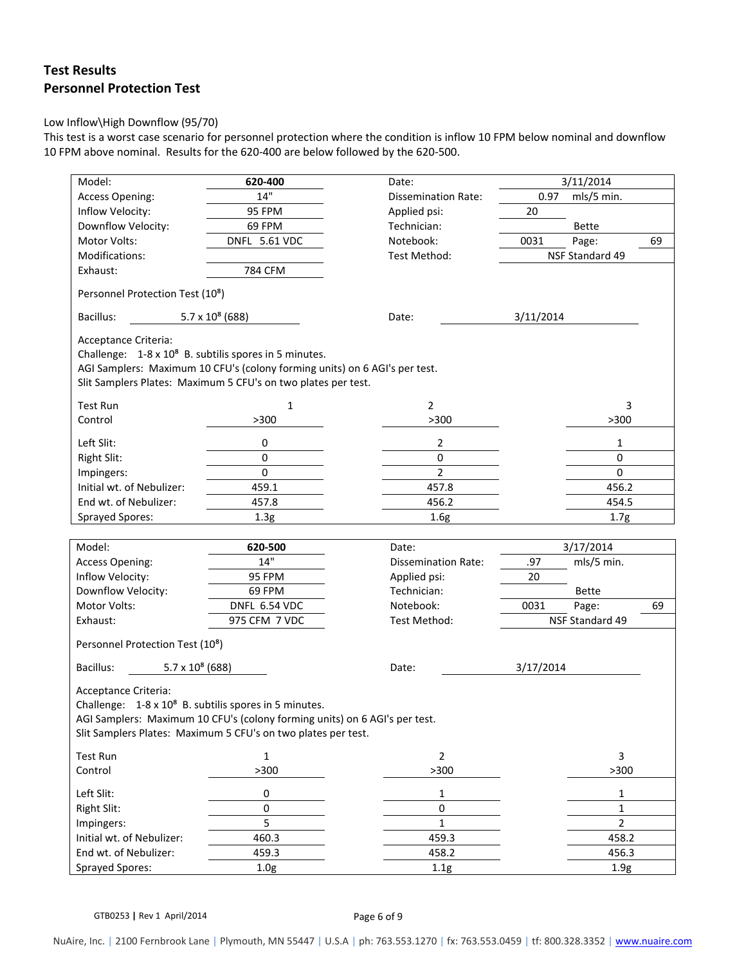# **Test Results Personnel Protection Test**

#### Low Inflow\High Downflow (95/70)

This test is a worst case scenario for personnel protection where the condition is inflow 10 FPM below nominal and downflow 10 FPM above nominal. Results for the 620‐400 are below followed by the 620‐500.

| Model:                                                                                                                                      | 620-400                 | Date:                      |           | 3/11/2014                |    |
|---------------------------------------------------------------------------------------------------------------------------------------------|-------------------------|----------------------------|-----------|--------------------------|----|
| <b>Access Opening:</b>                                                                                                                      | 14"                     | <b>Dissemination Rate:</b> | 0.97      | mls/5 min.               |    |
| Inflow Velocity:                                                                                                                            | 95 FPM                  | Applied psi:               | 20        |                          |    |
| Downflow Velocity:                                                                                                                          | 69 FPM                  | Technician:                |           | Bette                    |    |
| Motor Volts:                                                                                                                                | DNFL 5.61 VDC           | Notebook:                  | 0031      | Page:                    | 69 |
| Modifications:                                                                                                                              |                         | Test Method:               |           | NSF Standard 49          |    |
| Exhaust:                                                                                                                                    | 784 CFM                 |                            |           |                          |    |
| Personnel Protection Test (10 <sup>8</sup> )                                                                                                |                         |                            |           |                          |    |
| Bacillus:                                                                                                                                   | $5.7 \times 10^8$ (688) | Date:                      | 3/11/2014 |                          |    |
| Acceptance Criteria:                                                                                                                        |                         |                            |           |                          |    |
| Challenge: 1-8 x 10 <sup>8</sup> B. subtilis spores in 5 minutes.                                                                           |                         |                            |           |                          |    |
| AGI Samplers: Maximum 10 CFU's (colony forming units) on 6 AGI's per test.<br>Slit Samplers Plates: Maximum 5 CFU's on two plates per test. |                         |                            |           |                          |    |
| <b>Test Run</b>                                                                                                                             | $\mathbf 1$             | $\overline{2}$             |           | 3                        |    |
| Control                                                                                                                                     | >300                    | >300                       |           | >300                     |    |
| Left Slit:                                                                                                                                  | 0                       | 2                          |           | 1                        |    |
| <b>Right Slit:</b>                                                                                                                          | 0                       | $\mathbf 0$                |           | $\mathbf 0$              |    |
| Impingers:                                                                                                                                  | $\pmb{0}$               | $\overline{2}$             |           | $\mathbf 0$              |    |
| Initial wt. of Nebulizer:                                                                                                                   | 459.1                   | 457.8                      |           | 456.2                    |    |
| End wt. of Nebulizer:                                                                                                                       | 457.8                   | 456.2                      |           | 454.5                    |    |
| <b>Sprayed Spores:</b>                                                                                                                      | 1.3 <sub>g</sub>        | 1.6 <sub>g</sub>           |           | 1.7 <sub>g</sub>         |    |
|                                                                                                                                             |                         |                            |           |                          |    |
| Model:                                                                                                                                      | 620-500<br>14"          | Date:                      |           | 3/17/2014                |    |
| <b>Access Opening:</b>                                                                                                                      |                         | <b>Dissemination Rate:</b> | .97       | mls/5 min.               |    |
| Inflow Velocity:                                                                                                                            | 95 FPM<br>69 FPM        | Applied psi:               | 20        |                          |    |
| Downflow Velocity:                                                                                                                          |                         | Technician:                |           | Bette                    |    |
| Motor Volts:                                                                                                                                | DNFL 6.54 VDC           | Notebook:                  | 0031      | Page:<br>NSF Standard 49 | 69 |
| Exhaust:                                                                                                                                    | 975 CFM 7 VDC           | Test Method:               |           |                          |    |
| Personnel Protection Test (10 <sup>8</sup> )                                                                                                |                         |                            |           |                          |    |
| $5.7 \times 10^8$ (688)<br>Bacillus:                                                                                                        |                         | Date:                      | 3/17/2014 |                          |    |
| Acceptance Criteria:                                                                                                                        |                         |                            |           |                          |    |
| Challenge: 1-8 x 10 <sup>8</sup> B. subtilis spores in 5 minutes.                                                                           |                         |                            |           |                          |    |
| AGI Samplers: Maximum 10 CFU's (colony forming units) on 6 AGI's per test.                                                                  |                         |                            |           |                          |    |
| Slit Samplers Plates: Maximum 5 CFU's on two plates per test.                                                                               |                         |                            |           |                          |    |
| <b>Test Run</b>                                                                                                                             | 1                       | $\overline{2}$             |           | 3                        |    |
| Control                                                                                                                                     | >300                    | >300                       |           | >300                     |    |
| Left Slit:                                                                                                                                  | $\pmb{0}$               | 1                          |           | $\mathbf{1}$             |    |
| <b>Right Slit:</b>                                                                                                                          | 0                       | $\mathbf 0$                |           | $\mathbf{1}$             |    |
| Impingers:                                                                                                                                  |                         | 1                          |           | $\overline{2}$           |    |
|                                                                                                                                             | 5                       |                            |           |                          |    |
| Initial wt. of Nebulizer:                                                                                                                   | 460.3                   | 459.3                      |           | 458.2                    |    |
| End wt. of Nebulizer:                                                                                                                       | 459.3                   | 458.2                      |           | 456.3                    |    |
| <b>Sprayed Spores:</b>                                                                                                                      |                         |                            |           |                          |    |

GTB0253 | Rev 1 April/2014 **Page 6 of 9**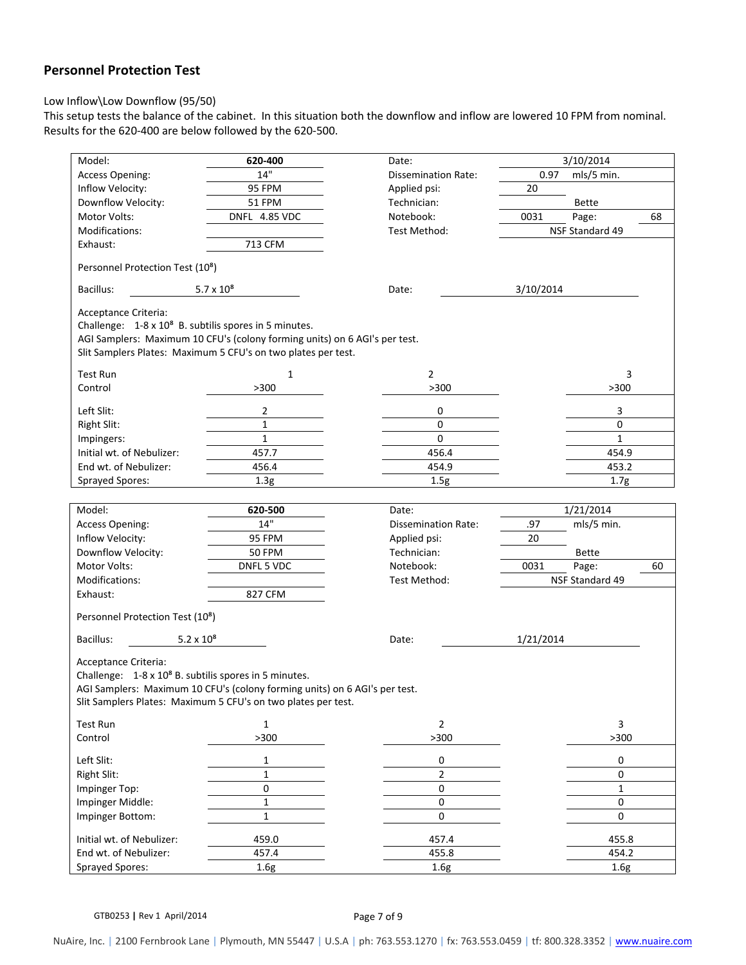# **Personnel Protection Test**

#### Low Inflow\Low Downflow (95/50)

This setup tests the balance of the cabinet. In this situation both the downflow and inflow are lowered 10 FPM from nominal. Results for the 620‐400 are below followed by the 620‐500.

| Model:                                                            | 620-400                                                                    | Date:                      |           | 3/10/2014       |    |
|-------------------------------------------------------------------|----------------------------------------------------------------------------|----------------------------|-----------|-----------------|----|
| Access Opening:                                                   | 14"                                                                        | <b>Dissemination Rate:</b> | 0.97      | mls/5 min.      |    |
| Inflow Velocity:                                                  | 95 FPM                                                                     | Applied psi:               | 20        |                 |    |
| Downflow Velocity:                                                | 51 FPM                                                                     | Technician:                |           | <b>Bette</b>    |    |
| Motor Volts:                                                      | DNFL 4.85 VDC                                                              | Notebook:                  | 0031      | Page:           | 68 |
| Modifications:                                                    |                                                                            | Test Method:               |           | NSF Standard 49 |    |
| Exhaust:                                                          | 713 CFM                                                                    |                            |           |                 |    |
|                                                                   |                                                                            |                            |           |                 |    |
| Personnel Protection Test (10 <sup>8</sup> )                      |                                                                            |                            |           |                 |    |
| Bacillus:                                                         | $5.7 \times 10^{8}$                                                        | Date:                      | 3/10/2014 |                 |    |
| Acceptance Criteria:                                              |                                                                            |                            |           |                 |    |
| Challenge: 1-8 x 10 <sup>8</sup> B. subtilis spores in 5 minutes. |                                                                            |                            |           |                 |    |
|                                                                   | AGI Samplers: Maximum 10 CFU's (colony forming units) on 6 AGI's per test. |                            |           |                 |    |
|                                                                   | Slit Samplers Plates: Maximum 5 CFU's on two plates per test.              |                            |           |                 |    |
| <b>Test Run</b>                                                   | $\mathbf{1}$                                                               | $\overline{2}$             |           | 3               |    |
| Control                                                           | >300                                                                       | $>300$                     |           | >300            |    |
|                                                                   |                                                                            |                            |           |                 |    |
| Left Slit:                                                        | 2                                                                          | 0                          |           | 3               |    |
| <b>Right Slit:</b>                                                | $\mathbf{1}$                                                               | 0                          |           | $\pmb{0}$       |    |
| Impingers:                                                        | $\mathbf{1}$                                                               | 0                          |           | $\mathbf{1}$    |    |
| Initial wt. of Nebulizer:                                         | 457.7                                                                      | 456.4                      |           | 454.9           |    |
| End wt. of Nebulizer:                                             | 456.4                                                                      | 454.9                      |           | 453.2           |    |
| <b>Sprayed Spores:</b>                                            | 1.3 <sub>g</sub>                                                           | 1.5g                       |           | 1.7g            |    |
|                                                                   |                                                                            |                            |           |                 |    |
| Model:                                                            | 620-500                                                                    | Date:                      |           | 1/21/2014       |    |
| Access Opening:                                                   | 14"                                                                        | Dissemination Rate:        | .97       | mls/5 min.      |    |
| Inflow Velocity:                                                  | 95 FPM                                                                     | Applied psi:               | 20        |                 |    |
| Downflow Velocity:                                                | <b>50 FPM</b>                                                              | Technician:                |           | <b>Bette</b>    |    |
| <b>Motor Volts:</b>                                               | DNFL 5 VDC                                                                 | Notebook:                  | 0031      | Page:           | 60 |
| Modifications:                                                    |                                                                            | Test Method:               |           | NSF Standard 49 |    |
| Exhaust:                                                          | 827 CFM                                                                    |                            |           |                 |    |
| Personnel Protection Test (10 <sup>8</sup> )                      |                                                                            |                            |           |                 |    |
|                                                                   |                                                                            |                            |           |                 |    |
| Bacillus:<br>$5.2 \times 10^{8}$                                  |                                                                            | Date:                      | 1/21/2014 |                 |    |
| Acceptance Criteria:                                              |                                                                            |                            |           |                 |    |
| Challenge: 1-8 x 10 <sup>8</sup> B. subtilis spores in 5 minutes. |                                                                            |                            |           |                 |    |
|                                                                   | AGI Samplers: Maximum 10 CFU's (colony forming units) on 6 AGI's per test. |                            |           |                 |    |
| Slit Samplers Plates: Maximum 5 CFU's on two plates per test.     |                                                                            |                            |           |                 |    |
|                                                                   |                                                                            |                            |           |                 |    |
| <b>Test Run</b>                                                   | 1                                                                          | $\overline{2}$             |           | 3               |    |
| Control                                                           | >300                                                                       | >300                       |           | >300            |    |
| Left Slit:                                                        | 1                                                                          | 0                          |           | 0               |    |
| Right Slit:                                                       | 1                                                                          | 2                          |           | 0               |    |
| Impinger Top:                                                     | $\pmb{0}$                                                                  | $\mathbf 0$                |           | $\mathbf{1}$    |    |
| Impinger Middle:                                                  | $\mathbf{1}$                                                               | $\mathbf 0$                |           | 0               |    |
| Impinger Bottom:                                                  | $\mathbf 1$                                                                | $\pmb{0}$                  |           | $\mathbf 0$     |    |
| Initial wt. of Nebulizer:                                         | 459.0                                                                      | 457.4                      |           | 455.8           |    |
| End wt. of Nebulizer:                                             | 457.4                                                                      | 455.8                      |           | 454.2           |    |
| <b>Sprayed Spores:</b>                                            | 1.6g                                                                       | 1.6g                       |           | 1.6g            |    |
|                                                                   |                                                                            |                            |           |                 |    |

GTB0253 | Rev 1 April/2014 **Page 7 of 9**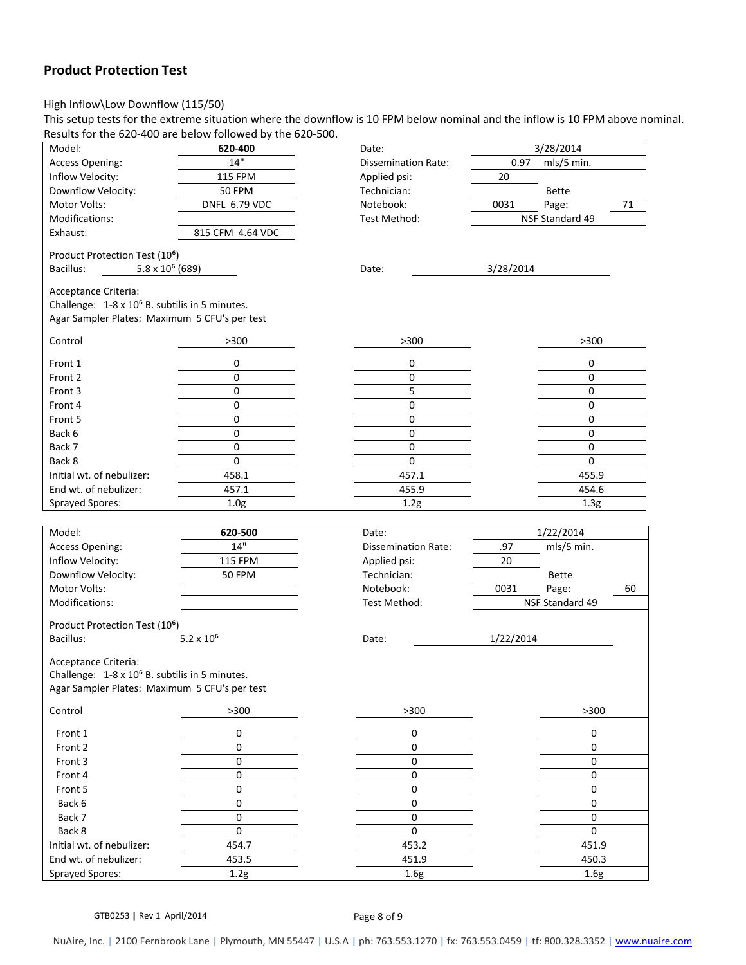## **Product Protection Test**

#### High Inflow\Low Downflow (115/50)

This setup tests for the extreme situation where the downflow is 10 FPM below nominal and the inflow is 10 FPM above nominal. Results for the 620‐400 are below followed by the 620‐500.

| Model:                                                                             | 620-400             | Date:                      |           | 3/28/2014        |    |
|------------------------------------------------------------------------------------|---------------------|----------------------------|-----------|------------------|----|
| <b>Access Opening:</b>                                                             | 14"                 | <b>Dissemination Rate:</b> | 0.97      | mls/5 min.       |    |
| Inflow Velocity:                                                                   | <b>115 FPM</b>      | Applied psi:               | 20        |                  |    |
| Downflow Velocity:                                                                 | <b>50 FPM</b>       | Technician:                |           | <b>Bette</b>     |    |
| Motor Volts:                                                                       | DNFL 6.79 VDC       | Notebook:                  | 0031      | Page:            | 71 |
| Modifications:                                                                     |                     | Test Method:               |           | NSF Standard 49  |    |
| Exhaust:                                                                           | 815 CFM 4.64 VDC    |                            |           |                  |    |
|                                                                                    |                     |                            |           |                  |    |
| Product Protection Test (10 <sup>6</sup> )<br>$5.8 \times 10^6$ (689)<br>Bacillus: |                     | Date:                      | 3/28/2014 |                  |    |
|                                                                                    |                     |                            |           |                  |    |
| Acceptance Criteria:                                                               |                     |                            |           |                  |    |
| Challenge: 1-8 x 10 <sup>6</sup> B. subtilis in 5 minutes.                         |                     |                            |           |                  |    |
| Agar Sampler Plates: Maximum 5 CFU's per test                                      |                     |                            |           |                  |    |
| Control                                                                            | >300                | >300                       |           | >300             |    |
|                                                                                    |                     |                            |           |                  |    |
| Front 1                                                                            | 0                   | 0                          |           | 0                |    |
| Front 2                                                                            | 0                   | 0                          |           | 0                |    |
| Front 3                                                                            | $\mathbf 0$         | 5                          |           | 0                |    |
| Front 4                                                                            | 0                   | 0                          |           | 0                |    |
| Front 5                                                                            | 0                   | 0                          |           | 0                |    |
| Back 6                                                                             | $\pmb{0}$           | 0                          |           | 0                |    |
| Back 7                                                                             | $\pmb{0}$           | 0                          |           | 0                |    |
| Back 8                                                                             | $\mathbf 0$         | 0                          |           | 0                |    |
| Initial wt. of nebulizer:                                                          | 458.1               | 457.1                      |           | 455.9            |    |
| End wt. of nebulizer:                                                              | 457.1               | 455.9                      |           | 454.6            |    |
| Sprayed Spores:                                                                    | 1.0 <sub>g</sub>    | 1.2g                       |           | 1.3 <sub>g</sub> |    |
|                                                                                    |                     |                            |           |                  |    |
|                                                                                    |                     |                            |           |                  |    |
| Model:                                                                             | 620-500             | Date:                      |           | 1/22/2014        |    |
| <b>Access Opening:</b>                                                             | 14"                 | <b>Dissemination Rate:</b> | .97       | mls/5 min.       |    |
| Inflow Velocity:                                                                   | <b>115 FPM</b>      | Applied psi:               | 20        |                  |    |
| Downflow Velocity:                                                                 | <b>50 FPM</b>       | Technician:                |           | <b>Bette</b>     |    |
| Motor Volts:                                                                       |                     | Notebook:                  | 0031      | Page:            | 60 |
| Modifications:                                                                     |                     | Test Method:               |           | NSF Standard 49  |    |
|                                                                                    |                     |                            |           |                  |    |
| Product Protection Test (10 <sup>6</sup> )                                         |                     | Date:                      |           |                  |    |
| Bacillus:                                                                          | $5.2 \times 10^{6}$ |                            | 1/22/2014 |                  |    |
| Acceptance Criteria:                                                               |                     |                            |           |                  |    |
| Challenge: 1-8 x 10 <sup>6</sup> B. subtilis in 5 minutes.                         |                     |                            |           |                  |    |
| Agar Sampler Plates: Maximum 5 CFU's per test                                      |                     |                            |           |                  |    |
| Control                                                                            | >300                | >300                       |           | >300             |    |
|                                                                                    |                     |                            |           |                  |    |
| Front 1                                                                            | 0                   | 0                          |           | 0                |    |
| Front 2                                                                            | 0                   | 0                          |           | 0                |    |
| Front 3                                                                            | 0                   | 0                          |           | 0                |    |
| Front 4                                                                            | 0                   | 0                          |           | 0                |    |
| Front 5                                                                            | 0                   | 0                          |           | 0                |    |
| Back 6                                                                             | 0                   | 0                          |           | 0                |    |
| Back 7                                                                             | 0                   | 0                          |           | 0                |    |
| Back 8                                                                             | 0                   | 0                          |           | 0                |    |
| Initial wt. of nebulizer:                                                          | 454.7               | 453.2                      |           | 451.9            |    |
| End wt. of nebulizer:<br><b>Sprayed Spores:</b>                                    | 453.5<br>1.2g       | 451.9<br>1.6g              |           | 450.3<br>1.6g    |    |

GTB0253 | Rev 1 April/2014 **Page 8 of 9** 

NuAire, Inc. **|** 2100 Fernbrook Lane **|** Plymouth, MN 55447 **|** U.S.A **|** ph: 763.553.1270 **|** fx: 763.553.0459 **|** tf: 800.328.3352 **|** www.nuaire.com